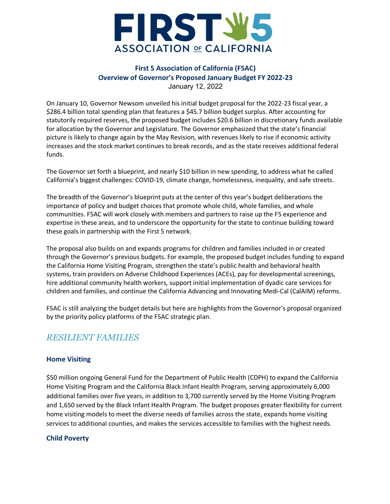

On January 10, Governor Newsom unveiled his initial budget proposal for the 2022-23 fiscal year, a \$286.4 billion total spending plan that features a \$45.7 billion budget surplus. After accounting for statutorily required reserves, the proposed budget includes \$20.6 billion in discretionary funds available for allocation by the Governor and Legislature. The Governor emphasized that the state's financial picture is likely to change again by the May Revision, with revenues likely to rise if economic activity increases and the stock market continues to break records, and as the state receives additional federal funds.

The Governor set forth a blueprint, and nearly \$10 billion in new spending, to address what he called California's biggest challenges: COVID-19, climate change, homelessness, inequality, and safe streets.

The breadth of the Governor's blueprint puts at the center of this year's budget deliberations the importance of policy and budget choices that promote whole child, whole families, and whole communities. F5AC will work closely with members and partners to raise up the F5 experience and expertise in these areas, and to underscore the opportunity for the state to continue building toward these goals in partnership with the First 5 network.

The proposal also builds on and expands programs for children and families included in or created through the Governor's previous budgets. For example, the proposed budget includes funding to expand the California Home Visiting Program, strengthen the state's public health and behavioral health systems, train providers on Adverse Childhood Experiences (ACEs), pay for developmental screenings, hire additional community health workers, support initial implementation of dyadic care services for children and families, and continue the California Advancing and Innovating Medi-Cal (CalAIM) reforms.

F5AC is still analyzing the budget details but here are highlights from the Governor's proposal organized by the priority policy platforms of the F5AC strategic plan.

# *RESILIENT FAMILIES*

## **Home Visiting**

\$50 million ongoing General Fund for the Department of Public Health (CDPH) to expand the California Home Visiting Program and the California Black Infant Health Program, serving approximately 6,000 additional families over five years, in addition to 3,700 currently served by the Home Visiting Program and 1,650 served by the Black Infant Health Program. The budget proposes greater flexibility for current home visiting models to meet the diverse needs of families across the state, expands home visiting services to additional counties, and makes the services accessible to families with the highest needs.

#### **Child Poverty**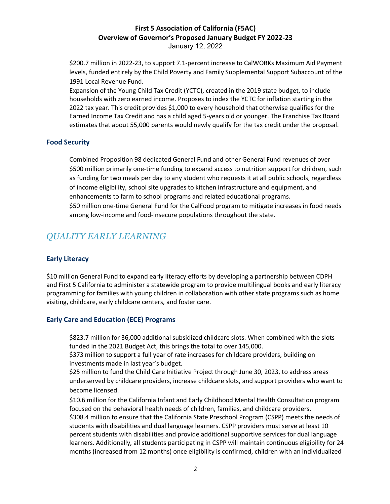\$200.7 million in 2022-23, to support 7.1-percent increase to CalWORKs Maximum Aid Payment levels, funded entirely by the Child Poverty and Family Supplemental Support Subaccount of the 1991 Local Revenue Fund.

 Expansion of the Young Child Tax Credit (YCTC), created in the 2019 state budget, to include households with zero earned income. Proposes to index the YCTC for inflation starting in the 2022 tax year. This credit provides \$1,000 to every household that otherwise qualifies for the Earned Income Tax Credit and has a child aged 5-years old or younger. The Franchise Tax Board estimates that about 55,000 parents would newly qualify for the tax credit under the proposal.

#### **Food Security**

 Combined Proposition 98 dedicated General Fund and other General Fund revenues of over \$500 million primarily one-time funding to expand access to nutrition support for children, such as funding for two meals per day to any student who requests it at all public schools, regardless of income eligibility, school site upgrades to kitchen infrastructure and equipment, and enhancements to farm to school programs and related educational programs. \$50 million one-time General Fund for the CalFood program to mitigate increases in food needs among low-income and food-insecure populations throughout the state.

# *QUALITY EARLY LEARNING*

## **Early Literacy**

\$10 million General Fund to expand early literacy efforts by developing a partnership between CDPH and First 5 California to administer a statewide program to provide multilingual books and early literacy programming for families with young children in collaboration with other state programs such as home visiting, childcare, early childcare centers, and foster care.

#### **Early Care and Education (ECE) Programs**

 \$823.7 million for 36,000 additional subsidized childcare slots. When combined with the slots funded in the 2021 Budget Act, this brings the total to over 145,000.

 \$373 million to support a full year of rate increases for childcare providers, building on investments made in last year's budget.

 \$25 million to fund the Child Care Initiative Project through June 30, 2023, to address areas underserved by childcare providers, increase childcare slots, and support providers who want to become licensed.

 \$10.6 million for the California Infant and Early Childhood Mental Health Consultation program focused on the behavioral health needs of children, families, and childcare providers. \$308.4 million to ensure that the California State Preschool Program (CSPP) meets the needs of students with disabilities and dual language learners. CSPP providers must serve at least 10 percent students with disabilities and provide additional supportive services for dual language learners. Additionally, all students participating in CSPP will maintain continuous eligibility for 24 months (increased from 12 months) once eligibility is confirmed, children with an individualized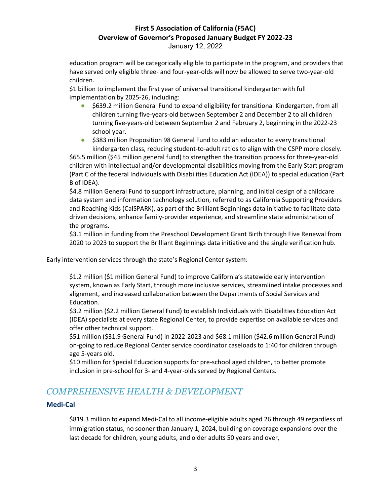education program will be categorically eligible to participate in the program, and providers that have served only eligible three- and four-year-olds will now be allowed to serve two-year-old children.

 \$1 billion to implement the first year of universal transitional kindergarten with full implementation by 2025-26, including:

- \$639.2 million General Fund to expand eligibility for transitional Kindergarten, from all children turning five-years-old between September 2 and December 2 to all children turning five-years-old between September 2 and February 2, beginning in the 2022-23 school year.
- \$383 million Proposition 98 General Fund to add an educator to every transitional kindergarten class, reducing student-to-adult ratios to align with the CSPP more closely.

 \$65.5 million (\$45 million general fund) to strengthen the transition process for three-year-old children with intellectual and/or developmental disabilities moving from the Early Start program (Part C of the federal Individuals with Disabilities Education Act (IDEA)) to special education (Part B of IDEA).

 \$4.8 million General Fund to support infrastructure, planning, and initial design of a childcare data system and information technology solution, referred to as California Supporting Providers and Reaching Kids (CalSPARK), as part of the Brilliant Beginnings data initiative to facilitate datadriven decisions, enhance family-provider experience, and streamline state administration of the programs.

 \$3.1 million in funding from the Preschool Development Grant Birth through Five Renewal from 2020 to 2023 to support the Brilliant Beginnings data initiative and the single verification hub.

Early intervention services through the state's Regional Center system:

 \$1.2 million (\$1 million General Fund) to improve California's statewide early intervention system, known as Early Start, through more inclusive services, streamlined intake processes and alignment, and increased collaboration between the Departments of Social Services and Education.

 \$3.2 million (\$2.2 million General Fund) to establish Individuals with Disabilities Education Act (IDEA) specialists at every state Regional Center, to provide expertise on available services and offer other technical support.

 \$51 million (\$31.9 General Fund) in 2022-2023 and \$68.1 million (\$42.6 million General Fund) on-going to reduce Regional Center service coordinator caseloads to 1:40 for children through age 5-years old.

 \$10 million for Special Education supports for pre-school aged children, to better promote inclusion in pre-school for 3- and 4-year-olds served by Regional Centers.

# *COMPREHENSIVE HEALTH & DEVELOPMENT*

## **Medi-Cal**

 \$819.3 million to expand Medi-Cal to all income-eligible adults aged 26 through 49 regardless of immigration status, no sooner than January 1, 2024, building on coverage expansions over the last decade for children, young adults, and older adults 50 years and over,